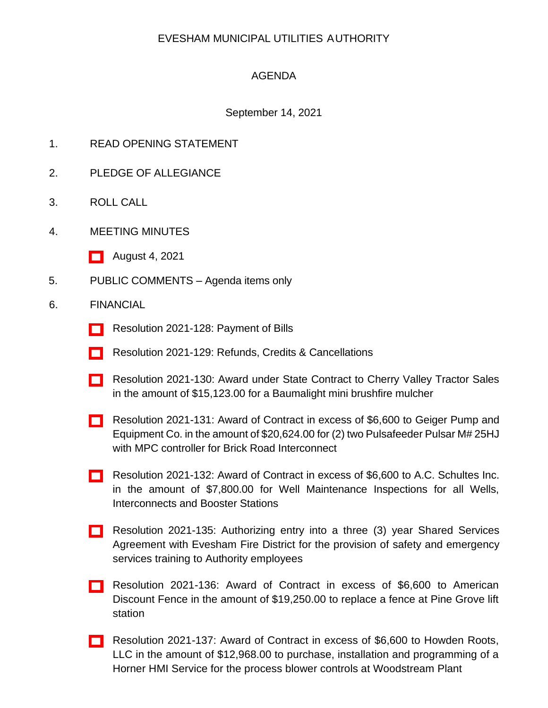## EVESHAM MUNICIPAL UTILITIES AUTHORITY

## AGENDA

## September 14, 2021

- 1. READ OPENING STATEMENT
- 2. PLEDGE OF ALLEGIANCE
- 3. ROLL CALL
- 4. MEETING MINUTES
	- [\[ \]](http://www.eveshammua.com/wp-content/uploads/2021/09/minutes-8-4-2021.pdf) August 4, 2021
- 5. PUBLIC COMMENTS Agenda items only
- 6. FINANCIAL
	- [\[ \]](http://www.eveshammua.com/wp-content/uploads/2021/09/Resolution-2021-128-August-Bill-List.pdf) Resolution 2021-128: Payment of Bills
	- [] Resolution 2021-129: Refunds, Credits & Cancellations
	- [\[ \]](http://www.eveshammua.com/wp-content/uploads/2021/09/Resolution-2021-130-Cherry-Valley-Tractor-Sales-State-Contract.pdf) Resolution 2021-130: Award under State Contract to Cherry Valley Tractor Sales in the amount of \$15,123.00 for a Baumalight mini brushfire mulcher
	- [\[ \]](http://www.eveshammua.com/wp-content/uploads/2021/09/Resolution-2021-131-Geiger-Pump-Equipment.pdf) Resolution 2021-131: Award of Contract in excess of \$6,600 to Geiger Pump and Equipment Co. in the amount of \$20,624.00 for (2) two Pulsafeeder Pulsar M# 25HJ with MPC controller for Brick Road Interconnect
	- [\[ \]](http://www.eveshammua.com/wp-content/uploads/2021/09/Resolution-2021-132-A.C.-Schultes.pdf) Resolution 2021-132: Award of Contract in excess of \$6,600 to A.C. Schultes Inc. in the amount of \$7,800.00 for Well Maintenance Inspections for all Wells, Interconnects and Booster Stations
	- [\[ \]](http://www.eveshammua.com/wp-content/uploads/2021/09/Resolution-2021-135-Authorize-Shared-Services-Agreement-with-Evesham-Fire-District-for-Safety-Training-2021.pdf) Resolution 2021-135: Authorizing entry into a three (3) year Shared Services Agreement with Evesham Fire District for the provision of safety and emergency services training to Authority employees
	- [\[ \]](http://www.eveshammua.com/wp-content/uploads/2021/09/Resolution-2021-136-American-Discount-Fence.pdf) Resolution 2021-136: Award of Contract in excess of \$6,600 to American Discount Fence in the amount of \$19,250.00 to replace a fence at Pine Grove lift station
	- [\[ \]](http://www.eveshammua.com/wp-content/uploads/2021/09/Resolution-2021-137-Howden-Roots-LLC.pdf) Resolution 2021-137: Award of Contract in excess of \$6,600 to Howden Roots, LLC in the amount of \$12,968.00 to purchase, installation and programming of a Horner HMI Service for the process blower controls at Woodstream Plant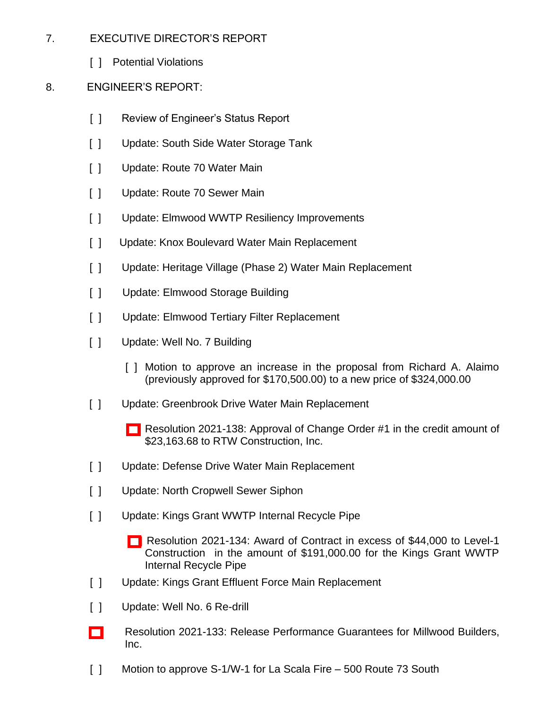- 7. EXECUTIVE DIRECTOR'S REPORT
	- [ ] Potential Violations
- 8. ENGINEER'S REPORT:
	- [ ] Review of Engineer's Status Report
	- [ ] Update: South Side Water Storage Tank
	- [ ] Update: Route 70 Water Main
	- [ ] Update: Route 70 Sewer Main
	- [ ] Update: Elmwood WWTP Resiliency Improvements
	- [ ] Update: Knox Boulevard Water Main Replacement
	- [ ] Update: Heritage Village (Phase 2) Water Main Replacement
	- [ ] Update: Elmwood Storage Building
	- [ ] Update: Elmwood Tertiary Filter Replacement
	- [ ] Update: Well No. 7 Building
		- [ ] Motion to approve an increase in the proposal from Richard A. Alaimo (previously approved for \$170,500.00) to a new price of \$324,000.00
	- [ ] Update: Greenbrook Drive Water Main Replacement
		- [\[ \]](http://www.eveshammua.com/wp-content/uploads/2021/09/Resolution-2021-138-RTW-Change-Order-1.pdf) Resolution 2021-138: Approval of Change Order #1 in the credit amount of \$23,163.68 to RTW Construction, Inc.
	- [ ] Update: Defense Drive Water Main Replacement
	- [ ] Update: North Cropwell Sewer Siphon
	- [ ] Update: Kings Grant WWTP Internal Recycle Pipe
		- [\[](http://www.eveshammua.com/wp-content/uploads/2021/09/Resolution-2021-134-Level-1-Construction.pdf) ] Resolution 2021-134: Award of Contract in excess of \$44,000 to Level-1 Construction in the amount of \$191,000.00 for the Kings Grant WWTP Internal Recycle Pipe
	- [ ] Update: Kings Grant Effluent Force Main Replacement
	- [ ] Update: Well No. 6 Re-drill
	- [\[ \]](http://www.eveshammua.com/wp-content/uploads/2021/09/Resolution-2021-133-Release-Performance.pdf) Resolution 2021-133: Release Performance Guarantees for Millwood Builders, Inc.
	- [ ] Motion to approve S-1/W-1 for La Scala Fire 500 Route 73 South